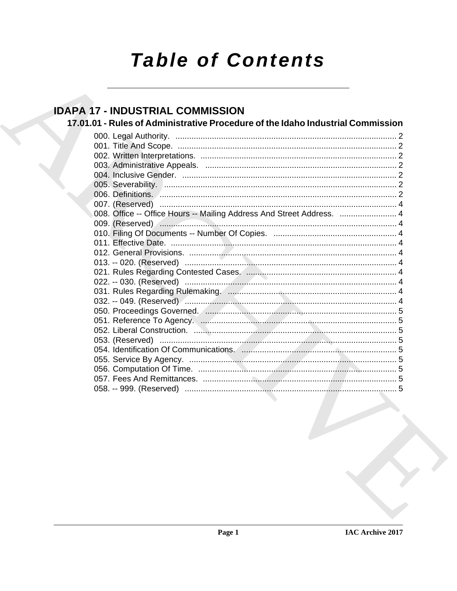# **Table of Contents**

## **IDAPA 17 - INDUSTRIAL COMMISSION**

17.01.01 - Rules of Administrative Procedure of the Idaho Industrial Commission

| 006. Definitions. <u>Announce</u> and the control of the control of the control of the control of the control of the c |
|------------------------------------------------------------------------------------------------------------------------|
|                                                                                                                        |
| 008. Office -- Office Hours -- Mailing Address And Street Address.  4                                                  |
|                                                                                                                        |
|                                                                                                                        |
|                                                                                                                        |
|                                                                                                                        |
|                                                                                                                        |
|                                                                                                                        |
|                                                                                                                        |
|                                                                                                                        |
|                                                                                                                        |
|                                                                                                                        |
|                                                                                                                        |
|                                                                                                                        |
|                                                                                                                        |
|                                                                                                                        |
|                                                                                                                        |
|                                                                                                                        |
|                                                                                                                        |
|                                                                                                                        |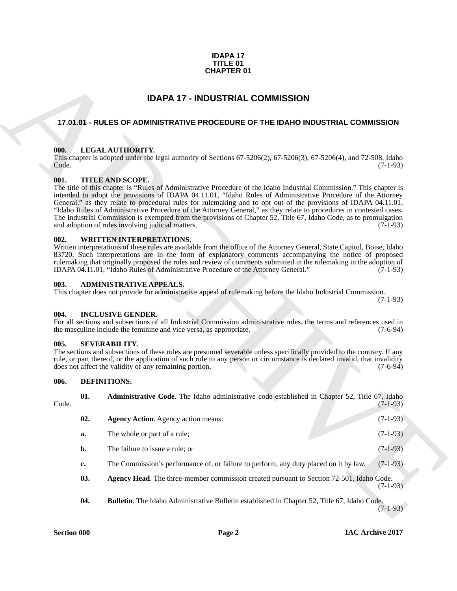### **IDAPA 17 TITLE 01 CHAPTER 01**

### **IDAPA 17 - INDUSTRIAL COMMISSION**

### <span id="page-1-1"></span><span id="page-1-0"></span>**17.01.01 - RULES OF ADMINISTRATIVE PROCEDURE OF THE IDAHO INDUSTRIAL COMMISSION**

### <span id="page-1-2"></span>**000. LEGAL AUTHORITY.**

### <span id="page-1-3"></span>**001. TITLE AND SCOPE.**

### <span id="page-1-4"></span>**002. WRITTEN INTERPRETATIONS.**

### <span id="page-1-5"></span>**003. ADMINISTRATIVE APPEALS.**

### <span id="page-1-6"></span>**004. INCLUSIVE GENDER.**

### <span id="page-1-7"></span>**005. SEVERABILITY.**

### <span id="page-1-13"></span><span id="page-1-12"></span><span id="page-1-11"></span><span id="page-1-10"></span><span id="page-1-9"></span><span id="page-1-8"></span>**006. DEFINITIONS.**

| <b>CHAPTER 01</b>                       |                                                                                                                                                                                                                                                                                                                                                                                                                                                                                                                                                                                                                                                                                                                                                                                                                                                                                                 |     |                                                                                                                                                                                                                                                                                                                                        |                |  |
|-----------------------------------------|-------------------------------------------------------------------------------------------------------------------------------------------------------------------------------------------------------------------------------------------------------------------------------------------------------------------------------------------------------------------------------------------------------------------------------------------------------------------------------------------------------------------------------------------------------------------------------------------------------------------------------------------------------------------------------------------------------------------------------------------------------------------------------------------------------------------------------------------------------------------------------------------------|-----|----------------------------------------------------------------------------------------------------------------------------------------------------------------------------------------------------------------------------------------------------------------------------------------------------------------------------------------|----------------|--|
| <b>IDAPA 17 - INDUSTRIAL COMMISSION</b> |                                                                                                                                                                                                                                                                                                                                                                                                                                                                                                                                                                                                                                                                                                                                                                                                                                                                                                 |     |                                                                                                                                                                                                                                                                                                                                        |                |  |
|                                         |                                                                                                                                                                                                                                                                                                                                                                                                                                                                                                                                                                                                                                                                                                                                                                                                                                                                                                 |     | 17.01.01 - RULES OF ADMINISTRATIVE PROCEDURE OF THE IDAHO INDUSTRIAL COMMISSION                                                                                                                                                                                                                                                        |                |  |
|                                         | LEGAL AUTHORITY.<br>000.<br>This chapter is adopted under the legal authority of Sections $67-5206(2)$ , $67-5206(3)$ , $67-5206(4)$ , and $72-508$ , Idaho<br>Code.<br>$(7-1-93)$<br><b>TITLE AND SCOPE.</b><br>001.<br>The title of this chapter is "Rules of Administrative Procedure of the Idaho Industrial Commission." This chapter is<br>intended to adopt the provisions of IDAPA 04.11.01, "Idaho Rules of Administrative Procedure of the Attorney<br>General," as they relate to procedural rules for rulemaking and to opt out of the provisions of IDAPA 04.11.01,<br>"Idaho Rules of Administrative Procedure of the Attorney General," as they relate to procedures in contested cases.<br>The Industrial Commission is exempted from the provisions of Chapter 52, Title 67, Idaho Code, as to promulgation<br>and adoption of rules involving judicial matters.<br>$(7-1-93)$ |     |                                                                                                                                                                                                                                                                                                                                        |                |  |
|                                         | 002.<br><b>WRITTEN INTERPRETATIONS.</b><br>Written interpretations of these rules are available from the office of the Attorney General, State Capitol, Boise, Idaho<br>83720. Such interpretations are in the form of explanatory comments accompanying the notice of proposed<br>rulemaking that originally proposed the rules and review of comments submitted in the rulemaking in the adoption of<br>IDAPA 04.11.01, "Idaho Rules of Administrative Procedure of the Attorney General."<br>$(7-1-93)$<br><b>ADMINISTRATIVE APPEALS.</b><br>003.<br>This chapter does not provide for administrative appeal of rulemaking before the Idaho Industrial Commission.<br>$(7-1-93)$                                                                                                                                                                                                             |     |                                                                                                                                                                                                                                                                                                                                        |                |  |
|                                         |                                                                                                                                                                                                                                                                                                                                                                                                                                                                                                                                                                                                                                                                                                                                                                                                                                                                                                 |     |                                                                                                                                                                                                                                                                                                                                        |                |  |
|                                         | 004.                                                                                                                                                                                                                                                                                                                                                                                                                                                                                                                                                                                                                                                                                                                                                                                                                                                                                            |     | <b>INCLUSIVE GENDER.</b><br>For all sections and subsections of all Industrial Commission administrative rules, the terms and references used in<br>the masculine include the feminine and vice versa, as appropriate.                                                                                                                 | $(7-6-94)$     |  |
|                                         | 005.                                                                                                                                                                                                                                                                                                                                                                                                                                                                                                                                                                                                                                                                                                                                                                                                                                                                                            |     | <b>SEVERABILITY.</b><br>The sections and subsections of these rules are presumed severable unless specifically provided to the contrary. If any<br>rule, or part thereof, or the application of such rule to any person or circumstance is declared invalid, that invalidity<br>does not affect the validity of any remaining portion. | $(7-6-94)$     |  |
|                                         | 006.                                                                                                                                                                                                                                                                                                                                                                                                                                                                                                                                                                                                                                                                                                                                                                                                                                                                                            |     | DEFINITIONS.                                                                                                                                                                                                                                                                                                                           |                |  |
|                                         | Code.                                                                                                                                                                                                                                                                                                                                                                                                                                                                                                                                                                                                                                                                                                                                                                                                                                                                                           | 01. | Administrative Code. The Idaho administrative code established in Chapter 52, Title 67, Idaho                                                                                                                                                                                                                                          | $(7 - 1 - 93)$ |  |
|                                         |                                                                                                                                                                                                                                                                                                                                                                                                                                                                                                                                                                                                                                                                                                                                                                                                                                                                                                 | 02. | <b>Agency Action.</b> Agency action means:                                                                                                                                                                                                                                                                                             | $(7-1-93)$     |  |
|                                         |                                                                                                                                                                                                                                                                                                                                                                                                                                                                                                                                                                                                                                                                                                                                                                                                                                                                                                 | a.  | The whole or part of a rule;                                                                                                                                                                                                                                                                                                           | $(7-1-93)$     |  |
|                                         |                                                                                                                                                                                                                                                                                                                                                                                                                                                                                                                                                                                                                                                                                                                                                                                                                                                                                                 | b.  | The failure to issue a rule; or                                                                                                                                                                                                                                                                                                        | $(7-1-93)$     |  |
|                                         |                                                                                                                                                                                                                                                                                                                                                                                                                                                                                                                                                                                                                                                                                                                                                                                                                                                                                                 | c.  | The Commission's performance of, or failure to perform, any duty placed on it by law.                                                                                                                                                                                                                                                  | $(7-1-93)$     |  |
|                                         |                                                                                                                                                                                                                                                                                                                                                                                                                                                                                                                                                                                                                                                                                                                                                                                                                                                                                                 | 03. | Agency Head. The three-member commission created pursuant to Section 72-501, Idaho Code.                                                                                                                                                                                                                                               | $(7-1-93)$     |  |
|                                         |                                                                                                                                                                                                                                                                                                                                                                                                                                                                                                                                                                                                                                                                                                                                                                                                                                                                                                 | 04. | Bulletin. The Idaho Administrative Bulletin established in Chapter 52, Title 67, Idaho Code.                                                                                                                                                                                                                                           | $(7-1-93)$     |  |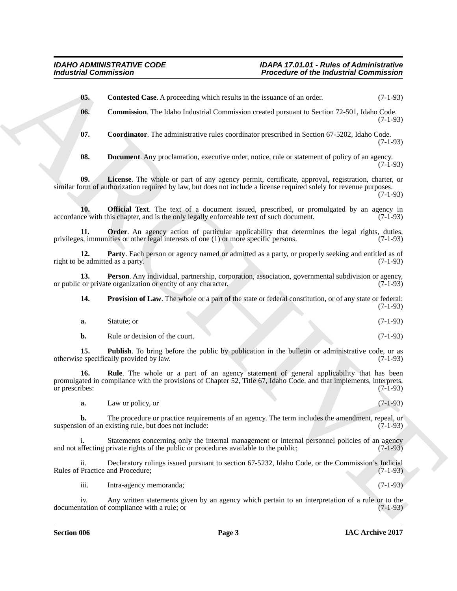<span id="page-2-8"></span><span id="page-2-7"></span><span id="page-2-6"></span><span id="page-2-5"></span><span id="page-2-4"></span><span id="page-2-3"></span><span id="page-2-2"></span><span id="page-2-1"></span><span id="page-2-0"></span>For the interaction  $\overline{R}$ <br>
(a) Contributed Contributed Contributed the interaction of the binds and the same of the contributed Contributed Contributed to the same of the same of the same of the same of the same of the **05. Contested Case**. A proceeding which results in the issuance of an order. (7-1-93) **06. Commission**. The Idaho Industrial Commission created pursuant to Section 72-501, Idaho Code. (7-1-93) **07. Coordinator**. The administrative rules coordinator prescribed in Section 67-5202, Idaho Code. (7-1-93) **08. Document**. Any proclamation, executive order, notice, rule or statement of policy of an agency.  $(7-1-93)$ **09. License**. The whole or part of any agency permit, certificate, approval, registration, charter, or similar form of authorization required by law, but does not include a license required solely for revenue purposes. (7-1-93) **10. Official Text**. The text of a document issued, prescribed, or promulgated by an agency in ce with this chapter, and is the only legally enforceable text of such document. (7-1-93) accordance with this chapter, and is the only legally enforceable text of such document. **11. Order**. An agency action of particular applicability that determines the legal rights, duties, s, immunities or other legal interests of one (1) or more specific persons. (7-1-93) privileges, immunities or other legal interests of one  $(1)$  or more specific persons. **12. Party**. Each person or agency named or admitted as a party, or properly seeking and entitled as of eedmitted as a party. (7-1-93) right to be admitted as a party. **13. Person**. Any individual, partnership, corporation, association, governmental subdivision or agency, or private organization or entity of any character. (7-1-93) or public or private organization or entity of any character. **14. Provision of Law**. The whole or a part of the state or federal constitution, or of any state or federal: (7-1-93) **a.** Statute; or (7-1-93) **b.** Rule or decision of the court. (7-1-93) **15. Publish**. To bring before the public by publication in the bulletin or administrative code, or as e specifically provided by law. (7-1-93) otherwise specifically provided by law. **16.** Rule. The whole or a part of an agency statement of general applicability that has been promulgated in compliance with the provisions of Chapter 52, Title 67, Idaho Code, and that implements, interprets, or prescribes: (7-1-93) or prescribes: (7-1-93) **a.** Law or policy, or (7-1-93) **b.** The procedure or practice requirements of an agency. The term includes the amendment, repeal, or on of an existing rule, but does not include: (7-1-93) suspension of an existing rule, but does not include: Statements concerning only the internal management or internal personnel policies of an agency<br>private rights of the public or procedures available to the public; (7-1-93) and not affecting private rights of the public or procedures available to the public; ii. Declaratory rulings issued pursuant to section 67-5232, Idaho Code, or the Commission's Judicial Rules of Practice and Procedure; (7-1-93) iii. Intra-agency memoranda; (7-1-93)

<span id="page-2-11"></span><span id="page-2-10"></span><span id="page-2-9"></span>iv. Any written statements given by an agency which pertain to an interpretation of a rule or to the tation of compliance with a rule; or (7-1-93) documentation of compliance with a rule; or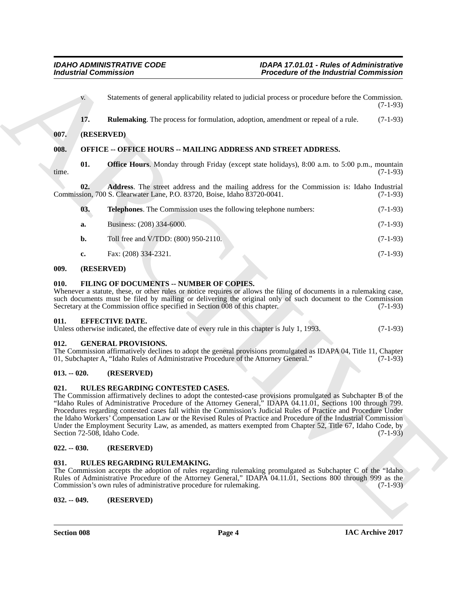<span id="page-3-1"></span><span id="page-3-0"></span>Fractional Commission<br>
Someroids of permet applicability related to both all present or percent permet and present or the commission<br>
(a) Someroids (Fig. Relation and present of formulation, alloptics, commissions, expect v. Statements of general applicability related to judicial process or procedure before the Commission. (7-1-93) **17. Rulemaking**. The process for formulation, adoption, amendment or repeal of a rule. (7-1-93) **007. (RESERVED) 008. OFFICE -- OFFICE HOURS -- MAILING ADDRESS AND STREET ADDRESS. 01. Office Hours**. Monday through Friday (except state holidays), 8:00 a.m. to 5:00 p.m., mountain (7-1-93) time. (7-1-93) **02. Address**. The street address and the mailing address for the Commission is: Idaho Industrial Commission, 700 S. Clearwater Lane, P.O. 83720, Boise, Idaho 83720-0041. (7-1-93) **03. Telephones**. The Commission uses the following telephone numbers: (7-1-93) **a.** Business: (208) 334-6000. (7-1-93) **b.** Toll free and V/TDD: (800) 950-2110. (7-1-93) **c.** Fax: (208) 334-2321. (7-1-93)

### <span id="page-3-2"></span>**009. (RESERVED)**

### <span id="page-3-11"></span><span id="page-3-3"></span>**010. FILING OF DOCUMENTS -- NUMBER OF COPIES.**

Whenever a statute, these, or other rules or notice requires or allows the filing of documents in a rulemaking case, such documents must be filed by mailing or delivering the original only of such document to the Commission Secretary at the Commission office specified in Section 008 of this chapter. (7-1-93)

### <span id="page-3-4"></span>**011. EFFECTIVE DATE.**

Unless otherwise indicated, the effective date of every rule in this chapter is July 1, 1993. (7-1-93)

### <span id="page-3-5"></span>**012. GENERAL PROVISIONS.**

The Commission affirmatively declines to adopt the general provisions promulgated as IDAPA 04, Title 11, Chapter 01, Subchapter A, "Idaho Rules of Administrative Procedure of the Attorney General." (7-1-93)

### <span id="page-3-6"></span>**013. -- 020. (RESERVED)**

### <span id="page-3-12"></span><span id="page-3-7"></span>**021. RULES REGARDING CONTESTED CASES.**

The Commission affirmatively declines to adopt the contested-case provisions promulgated as Subchapter B of the "Idaho Rules of Administrative Procedure of the Attorney General," IDAPA 04.11.01, Sections 100 through 799. Procedures regarding contested cases fall within the Commission's Judicial Rules of Practice and Procedure Under the Idaho Workers' Compensation Law or the Revised Rules of Practice and Procedure of the Industrial Commission Under the Employment Security Law, as amended, as matters exempted from Chapter 52, Title 67, Idaho Code, by Section 72-508, Idaho Code. (7-1-93)

### <span id="page-3-8"></span>**022. -- 030. (RESERVED)**

### <span id="page-3-13"></span><span id="page-3-9"></span>**031. RULES REGARDING RULEMAKING.**

The Commission accepts the adoption of rules regarding rulemaking promulgated as Subchapter C of the "Idaho Rules of Administrative Procedure of the Attorney General," IDAPA 04.11.01, Sections 800 through 999 as the Commission's own rules of administrative procedure for rulemaking. (7-1-93)

<span id="page-3-10"></span>**032. -- 049. (RESERVED)**

**Section 008 Page 4**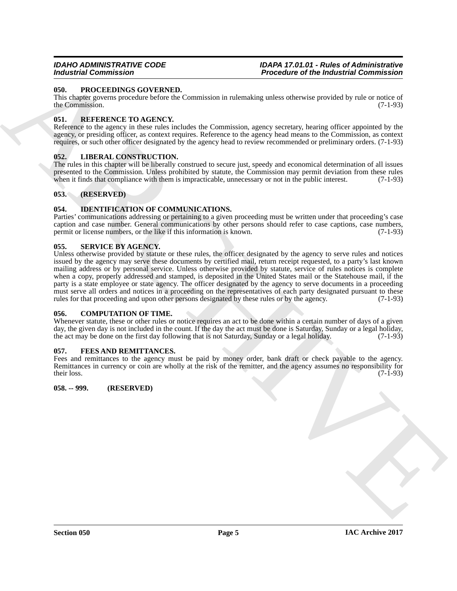### <span id="page-4-13"></span><span id="page-4-0"></span>**050. PROCEEDINGS GOVERNED.**

This chapter governs procedure before the Commission in rulemaking unless otherwise provided by rule or notice of the Commission. (7-1-93)

### <span id="page-4-14"></span><span id="page-4-1"></span>**051. REFERENCE TO AGENCY.**

Reference to the agency in these rules includes the Commission, agency secretary, hearing officer appointed by the agency, or presiding officer, as context requires. Reference to the agency head means to the Commission, as context requires, or such other officer designated by the agency head to review recommended or preliminary orders. (7-1-93)

### <span id="page-4-12"></span><span id="page-4-2"></span>**052. LIBERAL CONSTRUCTION.**

The rules in this chapter will be liberally construed to secure just, speedy and economical determination of all issues presented to the Commission. Unless prohibited by statute, the Commission may permit deviation from these rules<br>when it finds that compliance with them is impracticable, unnecessary or not in the public interest. (7-1-93) when it finds that compliance with them is impracticable, unnecessary or not in the public interest.

### <span id="page-4-3"></span>**053. (RESERVED)**

### <span id="page-4-11"></span><span id="page-4-4"></span>**054. IDENTIFICATION OF COMMUNICATIONS.**

Parties' communications addressing or pertaining to a given proceeding must be written under that proceeding's case caption and case number. General communications by other persons should refer to case captions, case numbers, permit or license numbers, or the like if this information is known. (7-1-93)

### <span id="page-4-15"></span><span id="page-4-5"></span>**055. SERVICE BY AGENCY.**

**From the contract of the indicate of the indicated Commission<br>
Unit, PROCEEDING COVERANT,<br>
The competition of the signal probability the same of the indicate of the indicate of the contract of<br>
SECRET EXECUTION COVERAGE** Unless otherwise provided by statute or these rules, the officer designated by the agency to serve rules and notices issued by the agency may serve these documents by certified mail, return receipt requested, to a party's last known mailing address or by personal service. Unless otherwise provided by statute, service of rules notices is complete when a copy, properly addressed and stamped, is deposited in the United States mail or the Statehouse mail, if the party is a state employee or state agency. The officer designated by the agency to serve documents in a proceeding must serve all orders and notices in a proceeding on the representatives of each party designated pursuant to these rules for that proceeding and upon other persons designated by these rules or by the agency. (7-1-93)

### <span id="page-4-9"></span><span id="page-4-6"></span>**056. COMPUTATION OF TIME.**

Whenever statute, these or other rules or notice requires an act to be done within a certain number of days of a given day, the given day is not included in the count. If the day the act must be done is Saturday, Sunday or a legal holiday, the act may be done on the first day following that is not Saturday, Sunday or a legal holiday. (7-1-93)

### <span id="page-4-10"></span><span id="page-4-7"></span>**057. FEES AND REMITTANCES.**

Fees and remittances to the agency must be paid by money order, bank draft or check payable to the agency. Remittances in currency or coin are wholly at the risk of the remitter, and the agency assumes no responsibility for their loss.  $(7-1-93)$ 

### <span id="page-4-8"></span>**058. -- 999. (RESERVED)**